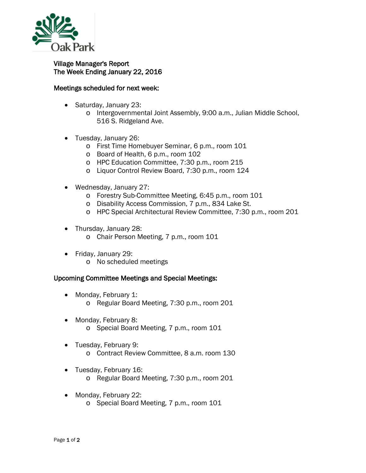

## Village Manager's Report The Week Ending January 22, 2016

## Meetings scheduled for next week:

- Saturday, January 23:
	- o Intergovernmental Joint Assembly, 9:00 a.m., Julian Middle School, 516 S. Ridgeland Ave.
- Tuesday, January 26:
	- o First Time Homebuyer Seminar, 6 p.m., room 101
	- o Board of Health, 6 p.m., room 102
	- o HPC Education Committee, 7:30 p.m., room 215
	- o Liquor Control Review Board, 7:30 p.m., room 124
- Wednesday, January 27:
	- o Forestry Sub-Committee Meeting, 6:45 p.m., room 101
	- o Disability Access Commission, 7 p.m., 834 Lake St.
	- o HPC Special Architectural Review Committee, 7:30 p.m., room 201
- Thursday, January 28:
	- o Chair Person Meeting, 7 p.m., room 101
- Friday, January 29:
	- o No scheduled meetings

## Upcoming Committee Meetings and Special Meetings:

- Monday, February 1: o Regular Board Meeting, 7:30 p.m., room 201
- Monday, February 8: o Special Board Meeting, 7 p.m., room 101
- Tuesday, February 9: o Contract Review Committee, 8 a.m. room 130
- Tuesday, February 16:
	- o Regular Board Meeting, 7:30 p.m., room 201
- Monday, February 22:
	- o Special Board Meeting, 7 p.m., room 101